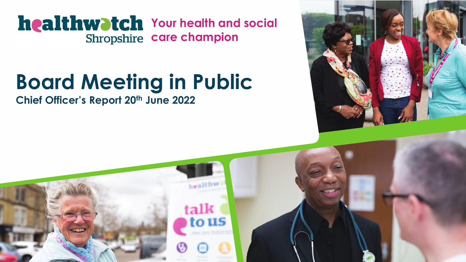**healthwatch** Your health and social **Shropshire care champion** 

# **Board Meeting in Public**

**Chief Officer's Report 20th June 2022**



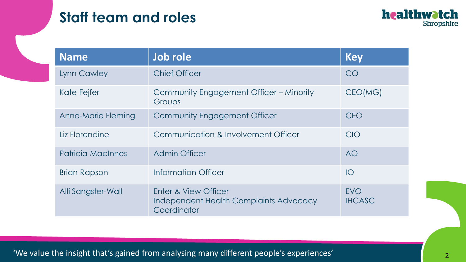## **Staff team and roles**



| <b>Name</b>              | Job role                                                                             | <b>Key</b>                  |
|--------------------------|--------------------------------------------------------------------------------------|-----------------------------|
| <b>Lynn Cawley</b>       | <b>Chief Officer</b>                                                                 | CO                          |
| Kate Fejfer              | Community Engagement Officer - Minority<br>Groups                                    | CEO(MG)                     |
| Anne-Marie Fleming       | <b>Community Engagement Officer</b>                                                  | <b>CEO</b>                  |
| Liz Florendine           | Communication & Involvement Officer                                                  | CIO                         |
| <b>Patricia MacInnes</b> | <b>Admin Officer</b>                                                                 | <b>AO</b>                   |
| <b>Brian Rapson</b>      | Information Officer                                                                  | IO                          |
| Alli Sangster-Wall       | Enter & View Officer<br><b>Independent Health Complaints Advocacy</b><br>Coordinator | <b>EVO</b><br><b>IHCASC</b> |

'We value the insight that's gained from analysing many different people's experiences'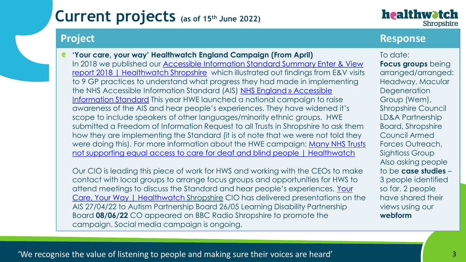healthwatch Shropshire

### **Project Response**

**'Your care, your way' Healthwatch England Campaign (From April)** In 2018 we published our **Accessible Information Standard Summary Enter & View** report 2018 | Healthwatch Shropshire which illustrated out findings from E&V visits to 9 GP practices to understand what progress they had made in implementing [the NHS Accessible Information Standard \(AIS\) NHS England » Accessible](https://www.england.nhs.uk/ourwork/accessibleinfo/) Information Standard This year HWE launched a national campaign to raise awareness of the AIS and hear people's experiences. They have widened it's scope to include speakers of other languages/minority ethnic groups. HWE submitted a Freedom of Information Request to all Trusts in Shropshire to ask them how they are implementing the Standard (it is of note that we were not told they were doing this). For more information about the HWE campaign: Many NHS Trusts [not supporting equal access to care for deaf and blind people | Healthwatch](https://www.healthwatch.co.uk/news/2022-02-23/many-nhs-trusts-not-supporting-equal-access-care-deaf-and-blind-people)

Our CIO is leading this piece of work for HWS and working with the CEOs to make contact with local groups to arrange focus groups and opportunities for HWS to [attend meetings to discuss the Standard and hear people's experiences.](https://www.healthwatchshropshire.co.uk/news/2022-05-19/your-care-your-way) Your Care, Your Way | Healthwatch Shropshire CIO has delivered presentations on the AIS 27/04/22 to Autism Partnership Board 26/05 Learning Disability Partnership Board **08/06/22** CO appeared on BBC Radio Shropshire to promote the campaign. Social media campaign is ongoing.

To date: **Focus groups** being arranged/arranged: Headway, Macular **Degeneration** Group (Wem), Shropshire Council LD&A Partnership Board, Shropshire Council Armed Forces Outreach, Sightloss Group Also asking people to be **case studies** – 3 people identified so far. 2 people have shared their views using our **webform**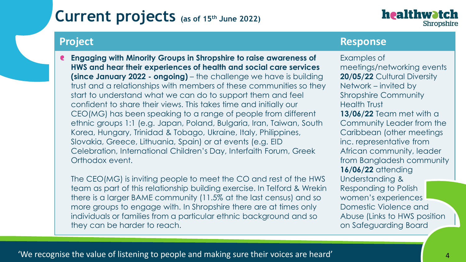

### **Project Response**

**Engaging with Minority Groups in Shropshire to raise awareness of HWS and hear their experiences of health and social care services (since January 2022 - ongoing)** – the challenge we have is building trust and a relationships with members of these communities so they start to understand what we can do to support them and feel confident to share their views. This takes time and initially our CEO(MG) has been speaking to a range of people from different ethnic groups 1:1 (e.g. Japan, Poland, Bulgaria, Iran, Taiwan, South Korea, Hungary, Trinidad & Tobago, Ukraine, Italy, Philippines, Slovakia, Greece, Lithuania, Spain) or at events (e.g. EID Celebration, International Children's Day, Interfaith Forum, Greek Orthodox event.

The CEO(MG) is inviting people to meet the CO and rest of the HWS team as part of this relationship building exercise. In Telford & Wrekin there is a larger BAME community (11.5% at the last census) and so more groups to engage with. In Shropshire there are at times only individuals or families from a particular ethnic background and so they can be harder to reach.

Examples of meetings/networking events **20/05/22** Cultural Diversity Network – invited by Shropshire Community Health Trust **13/06/22** Team met with a Community Leader from the Caribbean (other meetings inc. representative from African community, leader from Bangladesh community **16/06/22** attending Understanding & Responding to Polish women's experiences Domestic Violence and Abuse (Links to HWS position on Safeguarding Board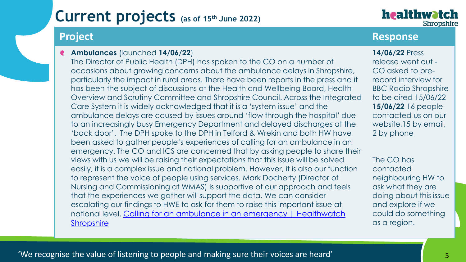healthwatch Shropshire

#### **Ambulances** (launched **14/06/22**)

The Director of Public Health (DPH) has spoken to the CO on a number of occasions about growing concerns about the ambulance delays in Shropshire, particularly the impact in rural areas. There have been reports in the press and it has been the subject of discussions at the Health and Wellbeing Board, Health Overview and Scrutiny Committee and Shropshire Council. Across the Integrated Care System it is widely acknowledged that it is a 'system issue' and the ambulance delays are caused by issues around 'flow through the hospital' due to an increasingly busy Emergency Department and delayed discharges at the 'back door'. The DPH spoke to the DPH in Telford & Wrekin and both HW have been asked to gather people's experiences of calling for an ambulance in an emergency. The CO and ICS are concerned that by asking people to share their views with us we will be raising their expectations that this issue will be solved easily, it is a complex issue and national problem. However, it is also our function to represent the voice of people using services. Mark Docherty (Director of Nursing and Commissioning at WMAS) is supportive of our approach and feels that the experiences we gather will support the data. We can consider escalating our findings to HWE to ask for them to raise this important issue at national level. [Calling for an ambulance in an emergency | Healthwatch](https://www.healthwatchshropshire.co.uk/calling-ambulance-emergency)  **Shropshire** 

### **Project Response**

**14/06/22** Press release went out - CO asked to prerecord interview for BBC Radio Shropshire to be aired 15/06/22 **15/06/22** 16 people contacted us on our website,15 by email, 2 by phone

The CO has contacted neighbouring HW to ask what they are doing about this issue and explore if we could do something as a region.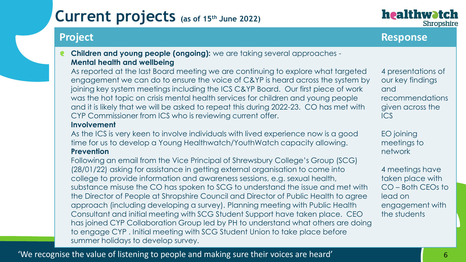**Children and young people (ongoing):** we are taking several approaches - **Mental health and wellbeing**

As reported at the last Board meeting we are continuing to explore what targeted engagement we can do to ensure the voice of C&YP is heard across the system by joining key system meetings including the ICS C&YP Board. Our first piece of work was the hot topic on crisis mental health services for children and young people and it is likely that we will be asked to repeat this during 2022-23. CO has met with CYP Commissioner from ICS who is reviewing current offer.

#### **Involvement**

As the ICS is very keen to involve individuals with lived experience now is a good time for us to develop a Young Healthwatch/YouthWatch capacity allowing. **Prevention**

Following an email from the Vice Principal of Shrewsbury College's Group (SCG) (28/01/22) asking for assistance in getting external organisation to come into college to provide information and awareness sessions, e.g. sexual health, substance misuse the CO has spoken to SCG to understand the issue and met with the Director of People at Shropshire Council and Director of Public Health to agree approach (including developing a survey). Planning meeting with Public Health Consultant and initial meeting with SCG Student Support have taken place. CEO has joined CYP Collaboration Group led by PH to understand what others are doing to engage CYP . Initial meeting with SCG Student Union to take place before summer holidays to develop survey.

4 presentations of our key findings and recommendations given across the ICS

EO joining meetings to network

4 meetings have taken place with CO – Both CEOs to lead on engagement with the students

**Project Response**

healthwatch

Shropshire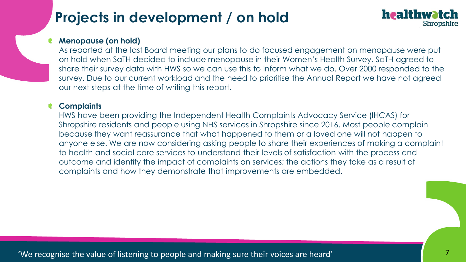## **Projects in development / on hold**

### healthwatch Shropshire

#### **Menopause (on hold)**

As reported at the last Board meeting our plans to do focused engagement on menopause were put on hold when SaTH decided to include menopause in their Women's Health Survey. SaTH agreed to share their survey data with HWS so we can use this to inform what we do. Over 2000 responded to the survey. Due to our current workload and the need to prioritise the Annual Report we have not agreed our next steps at the time of writing this report.

#### **Complaints**  $\bullet$

HWS have been providing the Independent Health Complaints Advocacy Service (IHCAS) for Shropshire residents and people using NHS services in Shropshire since 2016. Most people complain because they want reassurance that what happened to them or a loved one will not happen to anyone else. We are now considering asking people to share their experiences of making a complaint to health and social care services to understand their levels of satisfaction with the process and outcome and identify the impact of complaints on services; the actions they take as a result of complaints and how they demonstrate that improvements are embedded.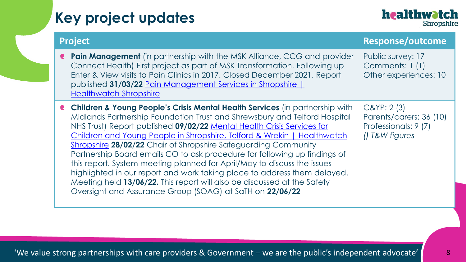## **Key project updates**



| <b>Project</b>                                                                                                                                                                                                                                                                                                                                                                                                                                                                                                                                                                                                                                                                                                                                                         | <b>Response/outcome</b>                                                           |
|------------------------------------------------------------------------------------------------------------------------------------------------------------------------------------------------------------------------------------------------------------------------------------------------------------------------------------------------------------------------------------------------------------------------------------------------------------------------------------------------------------------------------------------------------------------------------------------------------------------------------------------------------------------------------------------------------------------------------------------------------------------------|-----------------------------------------------------------------------------------|
| <b>Pain Management</b> (in partnership with the MSK Alliance, CCG and provider<br>€<br>Connect Health) First project as part of MSK Transformation. Following up<br>Enter & View visits to Pain Clinics in 2017. Closed December 2021. Report<br>published 31/03/22 Pain Management Services in Shropshire  <br><b>Healthwatch Shropshire</b>                                                                                                                                                                                                                                                                                                                                                                                                                          | Public survey: 17<br>Comments: 1 (1)<br>Other experiences: 10                     |
| <b>Children &amp; Young People's Crisis Mental Health Services</b> (in partnership with<br>Midlands Partnership Foundation Trust and Shrewsbury and Telford Hospital<br>NHS Trust) Report published 09/02/22 Mental Health Crisis Services for<br>Children and Young People in Shropshire, Telford & Wrekin   Healthwatch<br>Shropshire 28/02/22 Chair of Shropshire Safeguarding Community<br>Partnership Board emails CO to ask procedure for following up findings of<br>this report. System meeting planned for April/May to discuss the issues<br>highlighted in our report and work taking place to address them delayed.<br>Meeting held 13/06/22. This report will also be discussed at the Safety<br>Oversight and Assurance Group (SOAG) at SaTH on 22/06/22 | $C\&YP:2(3)$<br>Parents/carers: 36 (10)<br>Professionals: 9 (7)<br>() T&W figures |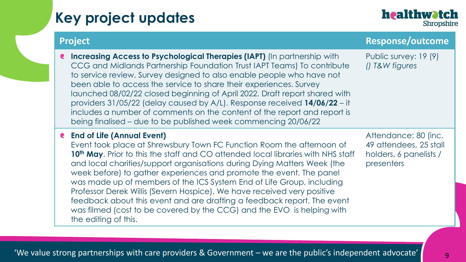## **Key project updates**

### healthwatch Shropshire

| <b>Project</b>                                                                                                                                                                                                                                                                                                                                                                                                                                                                                                                                                                                                                                                                                   | <b>Response/outcome</b>                                                                |
|--------------------------------------------------------------------------------------------------------------------------------------------------------------------------------------------------------------------------------------------------------------------------------------------------------------------------------------------------------------------------------------------------------------------------------------------------------------------------------------------------------------------------------------------------------------------------------------------------------------------------------------------------------------------------------------------------|----------------------------------------------------------------------------------------|
| Increasing Access to Psychological Therapies (IAPT) (In partnership with<br>CCG and Midlands Partnership Foundation Trust IAPT Teams) To contribute<br>to service review. Survey designed to also enable people who have not<br>been able to access the service to share their experiences. Survey<br>launched 08/02/22 closed beginning of April 2022. Draft report shared with<br>providers 31/05/22 (delay caused by A/L). Response received 14/06/22 - it<br>includes a number of comments on the content of the report and report is<br>being finalised – due to be published week commencing 20/06/22                                                                                      | Public survey: 19 (9)<br>() T&W figures                                                |
| <b>e</b> End of Life (Annual Event)<br>Event took place at Shrewsbury Town FC Function Room the afternoon of<br>10 <sup>th</sup> May. Prior to this the staff and CO attended local libraries with NHS staff<br>and local charities/support organisations during Dying Matters Week (the<br>week before) to gather experiences and promote the event. The panel<br>was made up of members of the ICS System End of Life Group, including<br>Professor Derek Willis (Severn Hospice). We have received very positive<br>feedback about this event and are drafting a feedback report. The event<br>was filmed (cost to be covered by the CCG) and the EVO is helping with<br>the editing of this. | Attendance: 80 (inc.<br>49 attendees, 25 stall<br>holders, 6 panelists /<br>presenters |

'We value strong partnerships with care providers & Government – we are the public's independent advocate'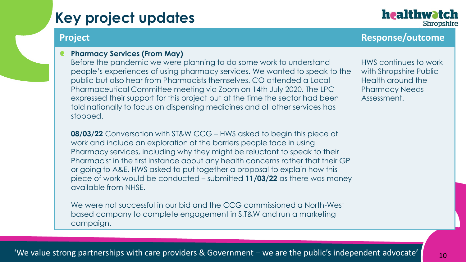## **Key project updates**

### **Project Response/outcome**

healthwatch

Shropshire

**Pharmacy Services (From May)**

Before the pandemic we were planning to do some work to understand people's experiences of using pharmacy services. We wanted to speak to the public but also hear from Pharmacists themselves. CO attended a Local Pharmaceutical Committee meeting via Zoom on 14th July 2020. The LPC expressed their support for this project but at the time the sector had been told nationally to focus on dispensing medicines and all other services has stopped.

HWS continues to work with Shropshire Public Health around the Pharmacy Needs Assessment.

08/03/22 Conversation with ST&W CCG – HWS asked to begin this piece of work and include an exploration of the barriers people face in using<br>Pharmacy services, including why they might be reluctant to speak to Pharmacy services, including why they might be reluctant to speak to their Pharmacist in the first instance about any health concerns rather that their GP or going to A&E. HWS asked to put together a proposal to explain how this piece of work would be conducted – submitted **11/03/22** as there was money available from NHSE.

We were not successful in our bid and the CCG commissioned a North-West based company to complete engagement in S,T&W and run a marketing campaign.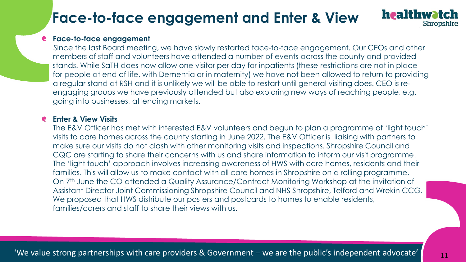## **Face-to-face engagement and Enter & View**

#### **Face-to-face engagement**

Since the last Board meeting, we have slowly restarted face-to-face engagement. Our CEOs and other members of staff and volunteers have attended a number of events across the county and provided stands. While SaTH does now allow one visitor per day for inpatients (these restrictions are not in place for people at end of life, with Dementia or in maternity) we have not been allowed to return to providing a regular stand at RSH and it is unlikely we will be able to restart until general visiting does. CEO is reengaging groups we have previously attended but also exploring new ways of reaching people, e.g. going into businesses, attending markets.

#### $\mathsf{Sits}$  . The value strong partnerships with care providers  $\mathsf{Sits}$  , with care providers  $\mathsf{Sits}$ **Enter & View Visits**

The E&V Officer has met with inferested E&V volunteers and begun to plan a programme of 'light fou<br>visits to care homes across the county starting in June 2022. The E&V Officer is liaising with partners to make sure our visits do not clash with other monitoring visits and inspections. Shropshire Council and The E&V Officer has met with interested E&V volunteers and begun to plan a programme of 'light touch' CQC are starting to share their concerns with us and share information to inform our visit programme. The 'light touch' approach involves increasing awareness of HWS with care homes, residents and their families. This will allow us to make contact with all care homes in Shropshire on a rolling programme. On 7<sup>th</sup> June the CO attended a Quality Assurance/Contract Monitoring Workshop at the invitation of Assistant Director Joint Commissioning Shropshire Council and NHS Shropshire, Telford and Wrekin CCG. We proposed that HWS distribute our posters and postcards to homes to enable residents, families/carers and staff to share their views with us.

healthwatch

Shropshire